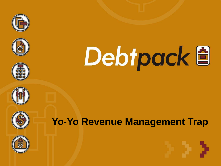













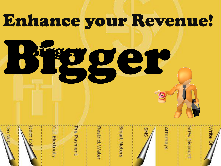## Enhance your Revenue!

# Bigger Bigger



**Do Not** 

ebt

Pre Payment

**Restrict Water** 

Smart Meters



Attorneys



50% Discount

Write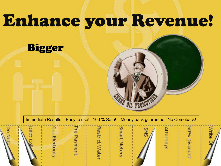## Enhance your Revenue!

#### Bigger

Immediate Results! Easy to use! 100 % Safe! Money back guarantee! No Comeback!

|  | Do Notbin | $\mathcal{L}_{\mathcal{A}}$<br>Debt <sub>Co</sub> | Cut Electrici | Pre Payment | Restrict W<br>/ater | Smart <sub>N</sub><br>leters | SM <sub>S</sub> | neys | 50% Discor<br>Ē |  |
|--|-----------|---------------------------------------------------|---------------|-------------|---------------------|------------------------------|-----------------|------|-----------------|--|
|--|-----------|---------------------------------------------------|---------------|-------------|---------------------|------------------------------|-----------------|------|-----------------|--|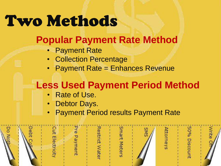## **Two Methods**

### **Popular Payment Rate Method**

- **Payment Rate**
- Collection Percentage
- Payment Rate = Enhances Revenue

## **Less Used Payment Period Method**

- Rate of Use.
- Debtor Days.
- **Payment Period results Payment Rate**

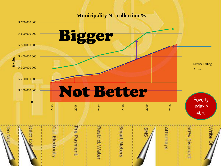**Municipality N - collection %**

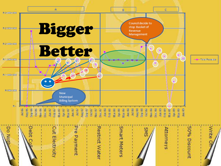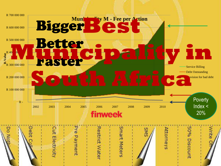